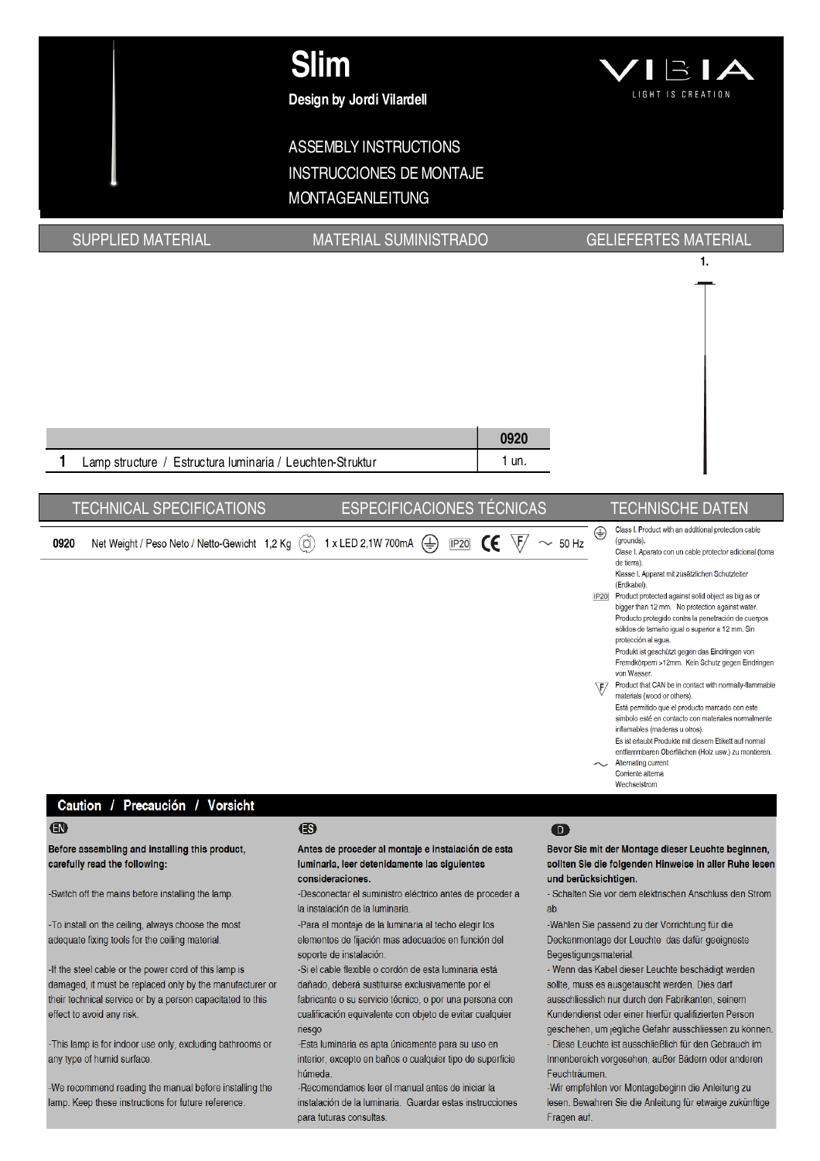

# **ASSEMBLY INSTRUCTIONS INSTRUCCIONES DE MONTAJE MONTAGEANLEITUNG**

**SUPPLIED MATERIAL** 

# **MATERIAL SUMINISTRADO**

## **GELIEFERTES MATERIAL**

1.



#### Caution / Precaución / Vorsicht

#### $\bigoplus$

Before assembling and installing this product. carefully read the following:

-Switch off the mains before installing the lamp.

-To install on the ceiling, always choose the most adequate fixing tools for the ceiling material.

-If the steel cable or the power cord of this lamp is damaged, it must be replaced only by the manufacturer or their technical service or by a person capacitated to this effect to avoid any risk.

-This lamp is for indoor use only, excluding bathrooms or any type of humid surface.

We recommend reading the manual before installing the lamp. Keep these instructions for future reference

#### ®

Antes de proceder al montaje e instalación de esta luminaria, leer detenidamente las siguientes consideraciones.

-Desconectar el suministro eléctrico antes de proceder a la instalación de la luminaria.

-Para el montaje de la luminaria al techo elegir los elementos de fijación mas adecuados en función del soporte de instalación.

-Si el cable flexible o cordón de esta luminaria está dañado, deberá sustituirse exclusivamente por el fabricante o su servicio técnico, o por una persona con cualificación equivalente con objeto de evitar cualquier riesao

-Esta luminaria es apta únicamente para su uso en interior, excepto en baños o cualquier tipo de superficie húmeda

-Recomendamos leer el manual antes de iniciar la instalación de la luminaria. Guardar estas instrucciones para futuras consultas.

#### $\bullet$

Bevor Sie mit der Montage dieser Leuchte beginnen. sollten Sie die folgenden Hinweise in aller Ruhe lesen und berücksichtigen.

- Schalten Sie vor dem elektrischen Anschluss den Strom  $ab$ 

-Wählen Sie passend zu der Vorrichtung für die Deckenmontage der Leuchte das dafür geeigneste Begestigungsmaterial.

- Wenn das Kabel dieser Leuchte beschädigt werden sollte, muss es ausgetauscht werden. Dies darf ausschliesslich nur durch den Fabrikanten, seinem Kundendienst oder einer hierfür qualifizierten Person geschehen, um jegliche Gefahr ausschliessen zu können. - Diese Leuchte ist ausschließlich für den Gebrauch im Innenbereich vorgesehen, außer Bädern oder anderen Feuchträumen

-Wir empfehlen vor Montagebeginn die Anleitung zu lesen. Bewahren Sie die Anleitung für etwaige zukünftige Fragen auf.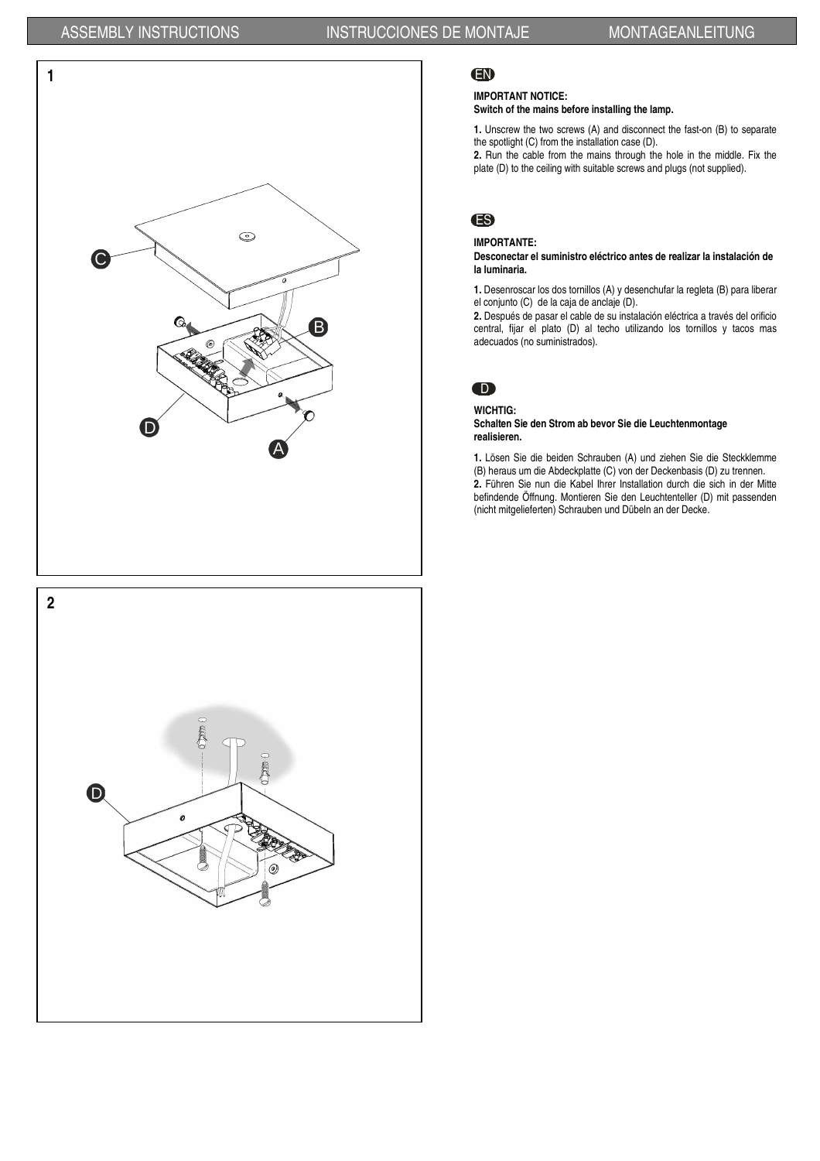

# **2** D $\boldsymbol{o}$  $\omega$

### EN

#### **IMPORTANT NOTICE:**

**Switch of the mains before installing the lamp.**

**1.** Unscrew the two screws (A) and disconnect the fast-on (B) to separate the spotlight (C) from the installation case (D).

**2.** Run the cable from the mains through the hole in the middle. Fix the plate (D) to the ceiling with suitable screws and plugs (not supplied).

# ES

#### **IMPORTANTE:**

**Desconectar el suministro eléctrico antes de realizar la instalación de la luminaria.**

**1.** Desenroscar los dos tornillos (A) y desenchufar la regleta (B) para liberar el conjunto (C) de la caja de anclaje (D).

**2.** Después de pasar el cable de su instalación eléctrica a través del orificio central, fijar el plato (D) al techo utilizando los tornillos y tacos mas adecuados (no suministrados).

# $\bullet$

**WICHTIG:** 

**Schalten Sie den Strom ab bevor Sie die Leuchtenmontage realisieren.** 

**1.** Lösen Sie die beiden Schrauben (A) und ziehen Sie die Steckklemme (B) heraus um die Abdeckplatte (C) von der Deckenbasis (D) zu trennen. **2.** Führen Sie nun die Kabel Ihrer Installation durch die sich in der Mitte befindende Öffnung. Montieren Sie den Leuchtenteller (D) mit passenden (nicht mitgelieferten) Schrauben und Dübeln an der Decke.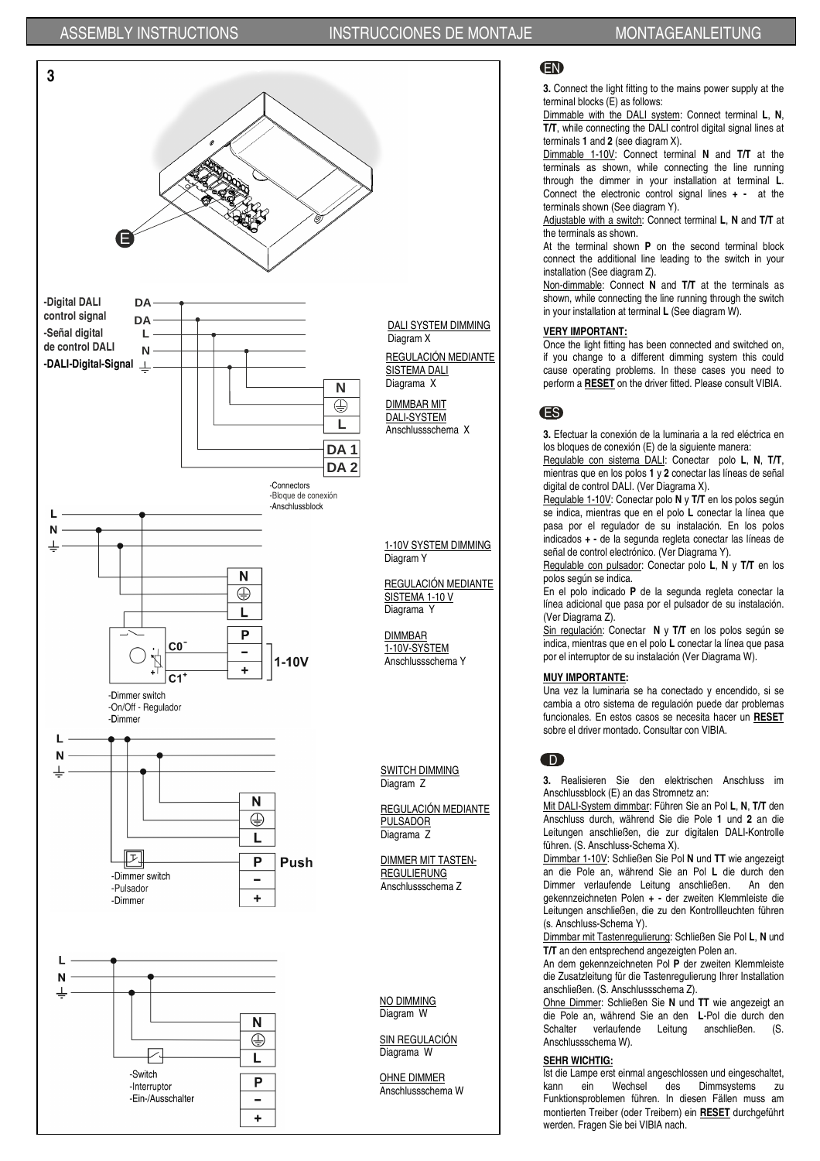



#### EN

**3.** Connect the light fitting to the mains power supply at the terminal blocks (E) as follows:

Dimmable with the DALI system: Connect terminal **L**, **N**, **T/T**, while connecting the DALI control digital signal lines at terminals **1** and **2** (see diagram X).

Dimmable 1-10V: Connect terminal **N** and **T/T** at the terminals as shown, while connecting the line running through the dimmer in your installation at terminal **L**. Connect the electronic control signal lines **+ -** at the terminals shown (See diagram Y).

Adjustable with a switch: Connect terminal **L**, **N** and **T/T** at the terminals as shown.

At the terminal shown **P** on the second terminal block connect the additional line leading to the switch in your installation (See diagram Z).

Non-dimmable: Connect **N** and **T/T** at the terminals as shown, while connecting the line running through the switch in your installation at terminal **L** (See diagram W).

#### **VERY IMPORTANT:**

Once the light fitting has been connected and switched on, if you change to a different dimming system this could cause operating problems. In these cases you need to perform a **RESET** on the driver fitted. Please consult VIBIA.

# ES

**3.** Efectuar la conexión de la luminaria a la red eléctrica en los bloques de conexión (E) de la siguiente manera:

Regulable con sistema DALI: Conectar polo **L**, **N**, **T/T**, mientras que en los polos **1** y **2** conectar las líneas de señal digital de control DALI. (Ver Diagrama X).

Regulable 1-10V: Conectar polo **N** y **T/T** en los polos según se indica, mientras que en el polo **L** conectar la línea que pasa por el regulador de su instalación. En los polos indicados **+ -** de la segunda regleta conectar las líneas de señal de control electrónico. (Ver Diagrama Y).

Regulable con pulsador: Conectar polo **L**, **N** y **T/T** en los polos según se indica.

En el polo indicado **P** de la segunda regleta conectar la línea adicional que pasa por el pulsador de su instalación. (Ver Diagrama Z).

Sin regulación: Conectar **N** y **T/T** en los polos según se indica, mientras que en el polo **L** conectar la línea que pasa por el interruptor de su instalación (Ver Diagrama W).

#### **MUY IMPORTANTE:**

Una vez la luminaria se ha conectado y encendido, si se cambia a otro sistema de regulación puede dar problemas funcionales. En estos casos se necesita hacer un **RESET** sobre el driver montado. Consultar con VIBIA.

#### D

**3.** Realisieren Sie den elektrischen Anschluss im Anschlussblock (E) an das Stromnetz an:

Mit DALI-System dimmbar: Führen Sie an Pol **L**, **N**, **T/T** den Anschluss durch, während Sie die Pole **1** und **2** an die Leitungen anschließen, die zur digitalen DALI-Kontrolle führen. (S. Anschluss-Schema X).

Dimmbar 1-10V: Schließen Sie Pol **N** und **TT** wie angezeigt an die Pole an, während Sie an Pol **L** die durch den Dimmer verlaufende Leitung anschließen. An den gekennzeichneten Polen **+ -** der zweiten Klemmleiste die Leitungen anschließen, die zu den Kontrollleuchten führen (s. Anschluss-Schema Y).

Dimmbar mit Tastenregulierung: Schließen Sie Pol **L**, **N** und **T/T** an den entsprechend angezeigten Polen an.

An dem gekennzeichneten Pol **P** der zweiten Klemmleiste die Zusatzleitung für die Tastenregulierung Ihrer Installation anschließen. (S. Anschlussschema Z).

Ohne Dimmer: Schließen Sie **N** und **TT** wie angezeigt an die Pole an, während Sie an den **L**-Pol die durch den Schalter verlaufende Leitung anschließen. (S. Anschlussschema W).

#### **SEHR WICHTIG:**

Ist die Lampe erst einmal angeschlossen und eingeschaltet, kann ein Wechsel des Dimmsystems zu Funktionsproblemen führen. In diesen Fällen muss am montierten Treiber (oder Treibern) ein **RESET** durchgeführt werden. Fragen Sie bei VIBIA nach.